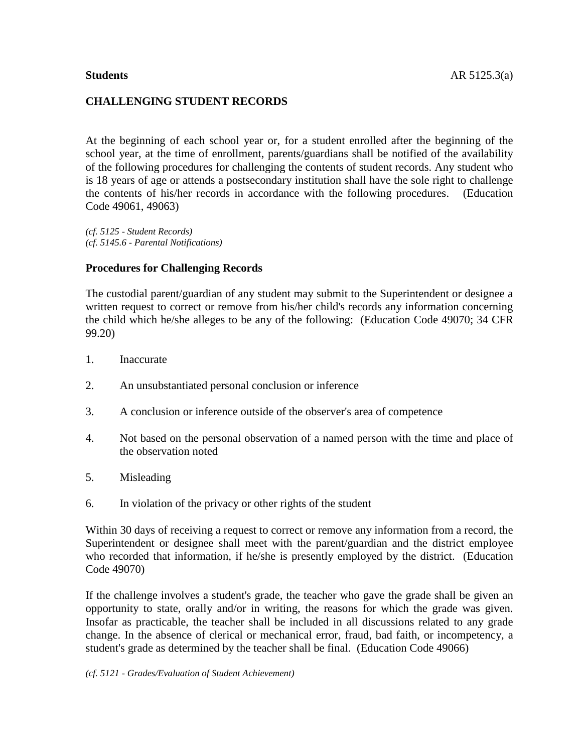## **CHALLENGING STUDENT RECORDS**

At the beginning of each school year or, for a student enrolled after the beginning of the school year, at the time of enrollment, parents/guardians shall be notified of the availability of the following procedures for challenging the contents of student records. Any student who is 18 years of age or attends a postsecondary institution shall have the sole right to challenge the contents of his/her records in accordance with the following procedures. (Education Code 49061, 49063)

*(cf. 5125 - Student Records) (cf. 5145.6 - Parental Notifications)*

#### **Procedures for Challenging Records**

The custodial parent/guardian of any student may submit to the Superintendent or designee a written request to correct or remove from his/her child's records any information concerning the child which he/she alleges to be any of the following: (Education Code 49070; 34 CFR 99.20)

- 1. Inaccurate
- 2. An unsubstantiated personal conclusion or inference
- 3. A conclusion or inference outside of the observer's area of competence
- 4. Not based on the personal observation of a named person with the time and place of the observation noted
- 5. Misleading
- 6. In violation of the privacy or other rights of the student

Within 30 days of receiving a request to correct or remove any information from a record, the Superintendent or designee shall meet with the parent/guardian and the district employee who recorded that information, if he/she is presently employed by the district. (Education Code 49070)

If the challenge involves a student's grade, the teacher who gave the grade shall be given an opportunity to state, orally and/or in writing, the reasons for which the grade was given. Insofar as practicable, the teacher shall be included in all discussions related to any grade change. In the absence of clerical or mechanical error, fraud, bad faith, or incompetency, a student's grade as determined by the teacher shall be final. (Education Code 49066)

*(cf. 5121 - Grades/Evaluation of Student Achievement)*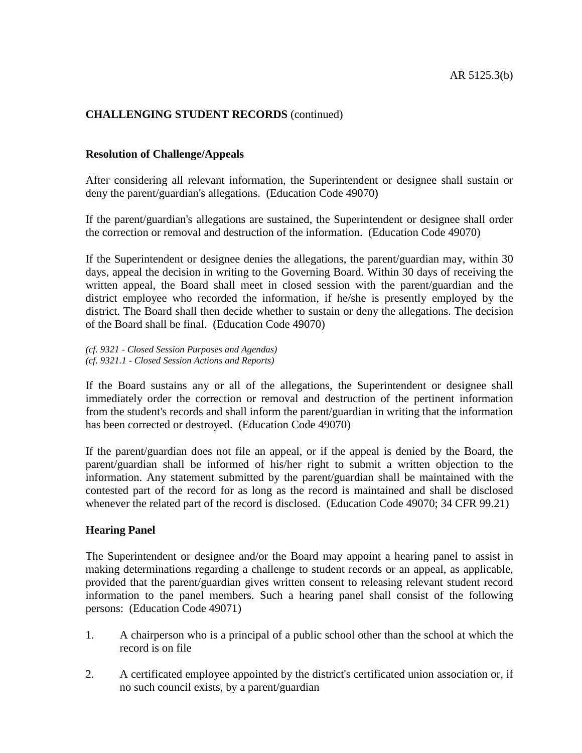# **CHALLENGING STUDENT RECORDS** (continued)

### **Resolution of Challenge/Appeals**

After considering all relevant information, the Superintendent or designee shall sustain or deny the parent/guardian's allegations. (Education Code 49070)

If the parent/guardian's allegations are sustained, the Superintendent or designee shall order the correction or removal and destruction of the information. (Education Code 49070)

If the Superintendent or designee denies the allegations, the parent/guardian may, within 30 days, appeal the decision in writing to the Governing Board. Within 30 days of receiving the written appeal, the Board shall meet in closed session with the parent/guardian and the district employee who recorded the information, if he/she is presently employed by the district. The Board shall then decide whether to sustain or deny the allegations. The decision of the Board shall be final. (Education Code 49070)

*(cf. 9321 - Closed Session Purposes and Agendas) (cf. 9321.1 - Closed Session Actions and Reports)*

If the Board sustains any or all of the allegations, the Superintendent or designee shall immediately order the correction or removal and destruction of the pertinent information from the student's records and shall inform the parent/guardian in writing that the information has been corrected or destroyed. (Education Code 49070)

If the parent/guardian does not file an appeal, or if the appeal is denied by the Board, the parent/guardian shall be informed of his/her right to submit a written objection to the information. Any statement submitted by the parent/guardian shall be maintained with the contested part of the record for as long as the record is maintained and shall be disclosed whenever the related part of the record is disclosed. (Education Code 49070; 34 CFR 99.21)

# **Hearing Panel**

The Superintendent or designee and/or the Board may appoint a hearing panel to assist in making determinations regarding a challenge to student records or an appeal, as applicable, provided that the parent/guardian gives written consent to releasing relevant student record information to the panel members. Such a hearing panel shall consist of the following persons: (Education Code 49071)

- 1. A chairperson who is a principal of a public school other than the school at which the record is on file
- 2. A certificated employee appointed by the district's certificated union association or, if no such council exists, by a parent/guardian